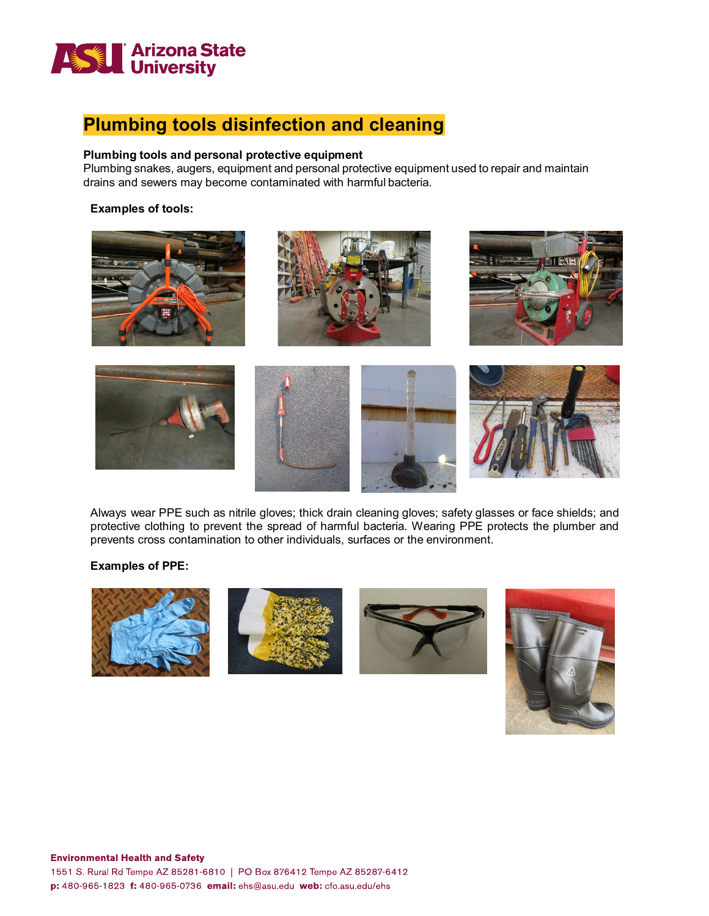

# **Plumbing tools disinfection and cleaning**

### **Plumbing tools and personal protective equipment**

Plumbing snakes, augers, equipment and personal protective equipment used to repair and maintain drains and sewers may become contaminated with harmful bacteria.

#### **Examples of tools:**



Always wear PPE such as nitrile gloves; thick drain cleaning gloves; safety glasses or face shields; and protective clothing to prevent the spread of harmful bacteria. Wearing PPE protects the plumber and prevents cross contamination to other individuals, surfaces or the environment.

### **Examples of PPE:**